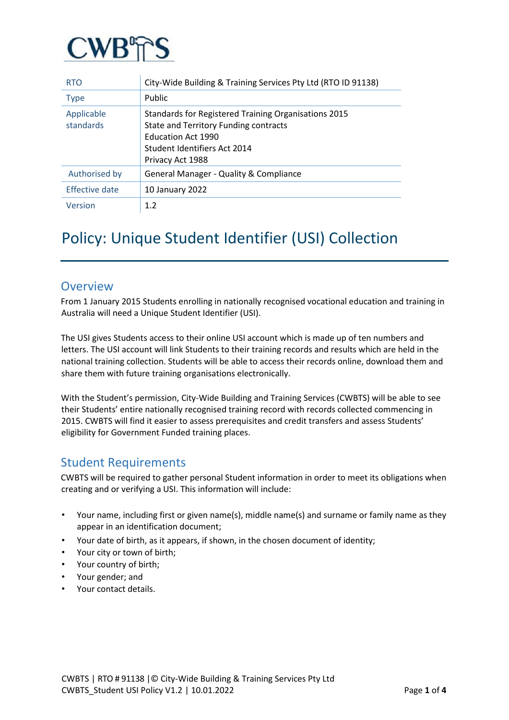

| <b>RTO</b>              | City-Wide Building & Training Services Pty Ltd (RTO ID 91138)                                                                                                                  |
|-------------------------|--------------------------------------------------------------------------------------------------------------------------------------------------------------------------------|
| <b>Type</b>             | Public                                                                                                                                                                         |
| Applicable<br>standards | Standards for Registered Training Organisations 2015<br>State and Territory Funding contracts<br><b>Education Act 1990</b><br>Student Identifiers Act 2014<br>Privacy Act 1988 |
| Authorised by           | General Manager - Quality & Compliance                                                                                                                                         |
| Effective date          | 10 January 2022                                                                                                                                                                |
| Version                 | 1.2                                                                                                                                                                            |

## Policy: Unique Student Identifier (USI) Collection

#### **Overview**

From 1 January 2015 Students enrolling in nationally recognised vocational education and training in Australia will need a Unique Student Identifier (USI).

The USI gives Students access to their online USI account which is made up of ten numbers and letters. The USI account will link Students to their training records and results which are held in the national training collection. Students will be able to access their records online, download them and share them with future training organisations electronically.

With the Student's permission, City-Wide Building and Training Services (CWBTS) will be able to see their Students' entire nationally recognised training record with records collected commencing in 2015. CWBTS will find it easier to assess prerequisites and credit transfers and assess Students' eligibility for Government Funded training places.

#### Student Requirements

CWBTS will be required to gather personal Student information in order to meet its obligations when creating and or verifying a USI. This information will include:

- Your name, including first or given name(s), middle name(s) and surname or family name as they appear in an identification document;
- Your date of birth, as it appears, if shown, in the chosen document of identity;
- Your city or town of birth;
- Your country of birth;
- Your gender; and
- Your contact details.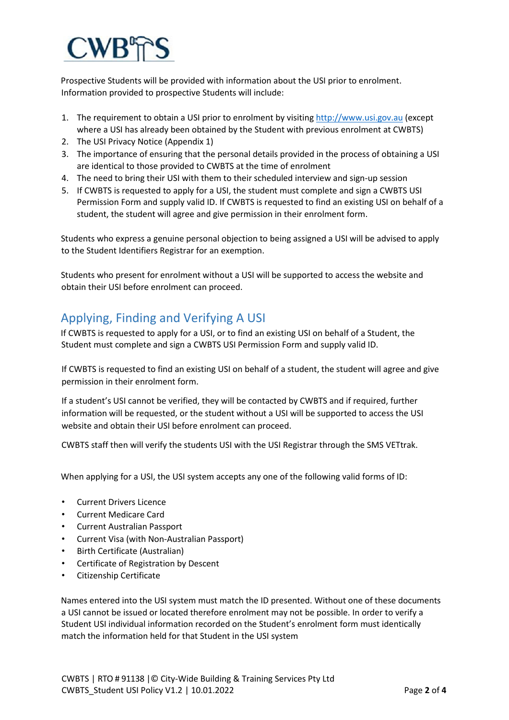# $\mathbb{C} \mathbf{W} \mathbf{B}$

Prospective Students will be provided with information about the USI prior to enrolment. Information provided to prospective Students will include:

- 1. The requirement to obtain a USI prior to enrolment by visiti[ng http://www.usi.gov.au](http://www.usi.gov.au/) (except where a USI has already been obtained by the Student with previous enrolment at CWBTS)
- 2. The USI Privacy Notice (Appendix 1)
- 3. The importance of ensuring that the personal details provided in the process of obtaining a USI are identical to those provided to CWBTS at the time of enrolment
- 4. The need to bring their USI with them to their scheduled interview and sign-up session
- 5. If CWBTS is requested to apply for a USI, the student must complete and sign a CWBTS USI Permission Form and supply valid ID. If CWBTS is requested to find an existing USI on behalf of a student, the student will agree and give permission in their enrolment form.

Students who express a genuine personal objection to being assigned a USI will be advised to apply to the Student Identifiers Registrar for an exemption.

Students who present for enrolment without a USI will be supported to access the website and obtain their USI before enrolment can proceed.

### Applying, Finding and Verifying A USI

If CWBTS is requested to apply for a USI, or to find an existing USI on behalf of a Student, the Student must complete and sign a CWBTS USI Permission Form and supply valid ID.

If CWBTS is requested to find an existing USI on behalf of a student, the student will agree and give permission in their enrolment form.

If a student's USI cannot be verified, they will be contacted by CWBTS and if required, further information will be requested, or the student without a USI will be supported to access the USI website and obtain their USI before enrolment can proceed.

CWBTS staff then will verify the students USI with the USI Registrar through the SMS VETtrak.

When applying for a USI, the USI system accepts any one of the following valid forms of ID:

- Current Drivers Licence
- Current Medicare Card
- Current Australian Passport
- Current Visa (with Non-Australian Passport)
- Birth Certificate (Australian)
- Certificate of Registration by Descent
- Citizenship Certificate

Names entered into the USI system must match the ID presented. Without one of these documents a USI cannot be issued or located therefore enrolment may not be possible. In order to verify a Student USI individual information recorded on the Student's enrolment form must identically match the information held for that Student in the USI system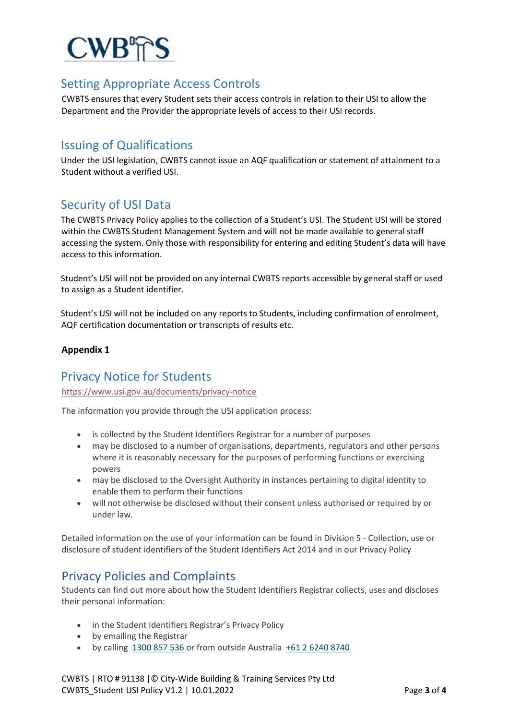

#### Setting Appropriate Access Controls

CWBTS ensures that every Student sets their access controls in relation to their USI to allow the Department and the Provider the appropriate levels of access to their USI records.

#### Issuing of Qualifications

Under the USI legislation, CWBTS cannot issue an AQF qualification or statement of attainment to a Student without a verified USI.

#### Security of USI Data

The CWBTS Privacy Policy applies to the collection of a Student's USI. The Student USI will be stored within the CWBTS Student Management System and will not be made available to general staff accessing the system. Only those with responsibility for entering and editing Student's data will have access to this information.

Student's USI will not be provided on any internal CWBTS reports accessible by general staff or used to assign as a Student identifier.

Student's USI will not be included on any reports to Students, including confirmation of enrolment, AQF certification documentation or transcripts of results etc.

#### **Appendix 1**

#### Privacy Notice for Students

<https://www.usi.gov.au/documents/privacy-notice>

The information you provide through the USI application process:

- is collected by the Student Identifiers Registrar for a number of purposes
- may be disclosed to a number of organisations, departments, regulators and other persons where it is reasonably necessary for the purposes of performing functions or exercising powers
- may be disclosed to the Oversight Authority in instances pertaining to digital identity to enable them to perform their functions
- will not otherwise be disclosed without their consent unless authorised or required by or under law.

Detailed information on the use of your information can be found in Division 5 - Collection, use or disclosure of student identifiers of the Student Identifiers Act 2014 and in our Privacy Policy

Privacy Policies and Complaints<br>Students can find out more about how the Student Identifiers Registrar collects, uses and discloses their personal information:

- in the Student Identifiers Registrar's Privacy Policy
- by emailing the Registrar
- by calling [1300 857 536](tel:1300857536) or from outside Australia [+61 2 6240 8740](tel:+61262408740)

CWBTS | RTO # 91138 |© City-Wide Building & Training Services Pty Ltd CWBTS\_Student USI Policy V1.2 | 10.01.2022 Page **3** of **4**